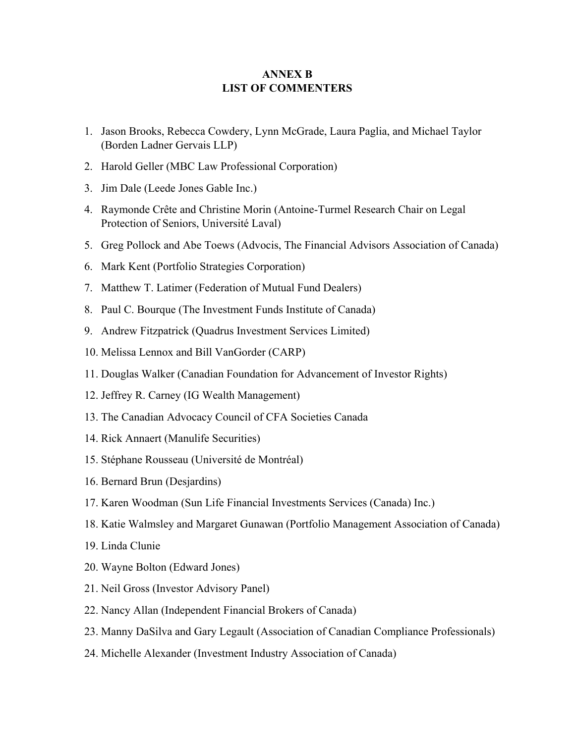## **ANNEX B LIST OF COMMENTERS**

- 1. Jason Brooks, Rebecca Cowdery, Lynn McGrade, Laura Paglia, and Michael Taylor (Borden Ladner Gervais LLP)
- 2. Harold Geller (MBC Law Professional Corporation)
- 3. Jim Dale (Leede Jones Gable Inc.)
- 4. Raymonde Crête and Christine Morin (Antoine-Turmel Research Chair on Legal Protection of Seniors, Université Laval)
- 5. Greg Pollock and Abe Toews (Advocis, The Financial Advisors Association of Canada)
- 6. Mark Kent (Portfolio Strategies Corporation)
- 7. Matthew T. Latimer (Federation of Mutual Fund Dealers)
- 8. Paul C. Bourque (The Investment Funds Institute of Canada)
- 9. Andrew Fitzpatrick (Quadrus Investment Services Limited)
- 10. Melissa Lennox and Bill VanGorder (CARP)
- 11. Douglas Walker (Canadian Foundation for Advancement of Investor Rights)
- 12. Jeffrey R. Carney (IG Wealth Management)
- 13. The Canadian Advocacy Council of CFA Societies Canada
- 14. Rick Annaert (Manulife Securities)
- 15. Stéphane Rousseau (Université de Montréal)
- 16. Bernard Brun (Desjardins)
- 17. Karen Woodman (Sun Life Financial Investments Services (Canada) Inc.)
- 18. Katie Walmsley and Margaret Gunawan (Portfolio Management Association of Canada)
- 19. Linda Clunie
- 20. Wayne Bolton (Edward Jones)
- 21. Neil Gross (Investor Advisory Panel)
- 22. Nancy Allan (Independent Financial Brokers of Canada)
- 23. Manny DaSilva and Gary Legault (Association of Canadian Compliance Professionals)
- 24. Michelle Alexander (Investment Industry Association of Canada)